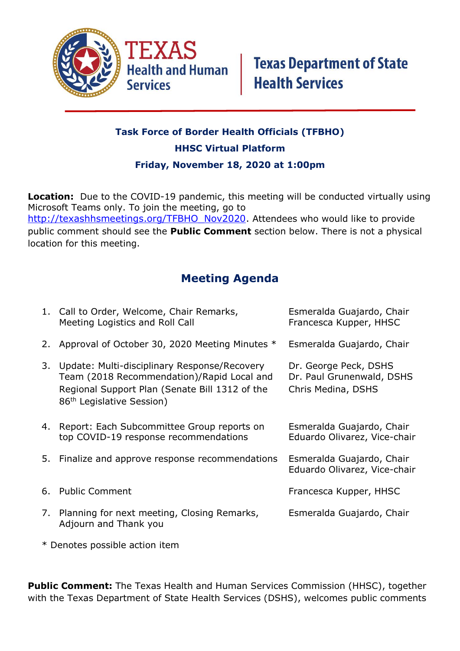

## **Task Force of Border Health Officials (TFBHO) HHSC Virtual Platform Friday, November 18, 2020 at 1:00pm**

**Location:** Due to the COVID-19 pandemic, this meeting will be conducted virtually using Microsoft Teams only. To join the meeting, go to [http://texashhsmeetings.org/TFBHO\\_Nov2020.](http://texashhsmeetings.org/TFBHO_Nov2020) Attendees who would like to provide public comment should see the **Public Comment** section below. There is not a physical location for this meeting.

## **Meeting Agenda**

|    | 1. Call to Order, Welcome, Chair Remarks,<br>Meeting Logistics and Roll Call                                                                                                          | Esmeralda Guajardo, Chair<br>Francesca Kupper, HHSC                      |
|----|---------------------------------------------------------------------------------------------------------------------------------------------------------------------------------------|--------------------------------------------------------------------------|
|    | 2. Approval of October 30, 2020 Meeting Minutes *                                                                                                                                     | Esmeralda Guajardo, Chair                                                |
| 3. | Update: Multi-disciplinary Response/Recovery<br>Team (2018 Recommendation)/Rapid Local and<br>Regional Support Plan (Senate Bill 1312 of the<br>86 <sup>th</sup> Legislative Session) | Dr. George Peck, DSHS<br>Dr. Paul Grunenwald, DSHS<br>Chris Medina, DSHS |
| 4. | Report: Each Subcommittee Group reports on<br>top COVID-19 response recommendations                                                                                                   | Esmeralda Guajardo, Chair<br>Eduardo Olivarez, Vice-chair                |
|    | 5. Finalize and approve response recommendations                                                                                                                                      | Esmeralda Guajardo, Chair<br>Eduardo Olivarez, Vice-chair                |
| 6. | <b>Public Comment</b>                                                                                                                                                                 | Francesca Kupper, HHSC                                                   |
|    | 7. Planning for next meeting, Closing Remarks,<br>Adjourn and Thank you                                                                                                               | Esmeralda Guajardo, Chair                                                |

\* Denotes possible action item

**Public Comment:** The Texas Health and Human Services Commission (HHSC), together with the Texas Department of State Health Services (DSHS), welcomes public comments